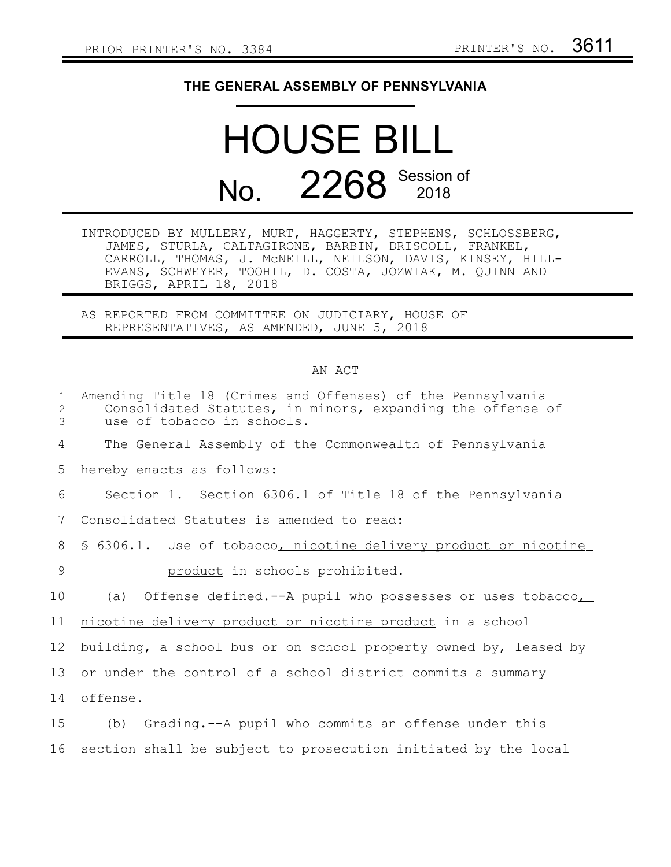## **THE GENERAL ASSEMBLY OF PENNSYLVANIA**

## HOUSE BILL No. 2268 Session of

INTRODUCED BY MULLERY, MURT, HAGGERTY, STEPHENS, SCHLOSSBERG, JAMES, STURLA, CALTAGIRONE, BARBIN, DRISCOLL, FRANKEL, CARROLL, THOMAS, J. McNEILL, NEILSON, DAVIS, KINSEY, HILL-EVANS, SCHWEYER, TOOHIL, D. COSTA, JOZWIAK, M. QUINN AND BRIGGS, APRIL 18, 2018

AS REPORTED FROM COMMITTEE ON JUDICIARY, HOUSE OF REPRESENTATIVES, AS AMENDED, JUNE 5, 2018

## AN ACT

| $\mathbf{1}$<br>2<br>3 | Amending Title 18 (Crimes and Offenses) of the Pennsylvania<br>Consolidated Statutes, in minors, expanding the offense of<br>use of tobacco in schools. |
|------------------------|---------------------------------------------------------------------------------------------------------------------------------------------------------|
| 4                      | The General Assembly of the Commonwealth of Pennsylvania                                                                                                |
| 5                      | hereby enacts as follows:                                                                                                                               |
| 6                      | Section 1. Section 6306.1 of Title 18 of the Pennsylvania                                                                                               |
| 7                      | Consolidated Statutes is amended to read:                                                                                                               |
| 8                      | \$ 6306.1. Use of tobacco, nicotine delivery product or nicotine                                                                                        |
| $\overline{9}$         | product in schools prohibited.                                                                                                                          |
| 10                     | Offense defined.--A pupil who possesses or uses tobacco,<br>(a)                                                                                         |
| 11                     | nicotine delivery product or nicotine product in a school                                                                                               |
| 12                     | building, a school bus or on school property owned by, leased by                                                                                        |
| 13                     | or under the control of a school district commits a summary                                                                                             |
| 14                     | offense.                                                                                                                                                |
| 15                     | Grading.--A pupil who commits an offense under this<br>(b)                                                                                              |
| 16                     | section shall be subject to prosecution initiated by the local                                                                                          |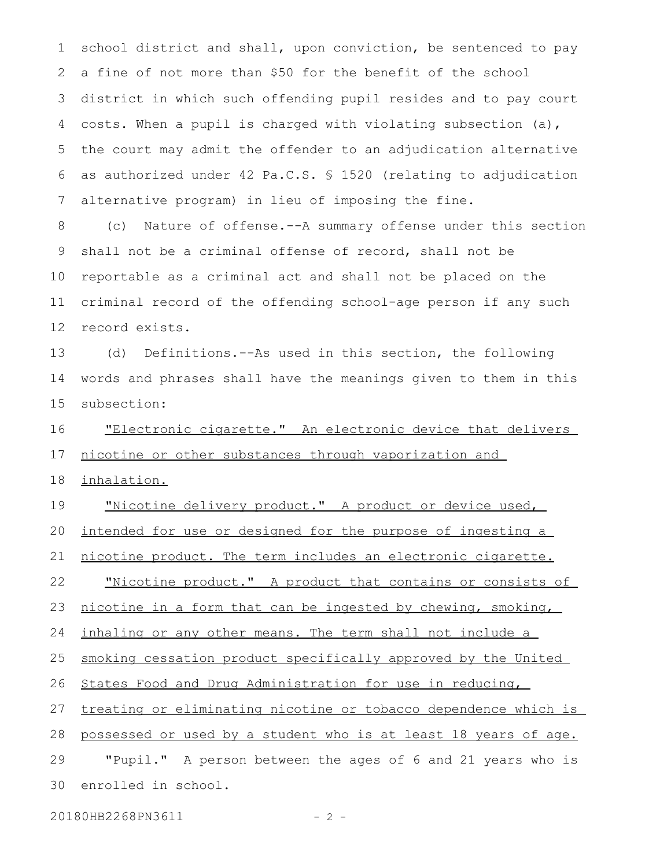school district and shall, upon conviction, be sentenced to pay a fine of not more than \$50 for the benefit of the school district in which such offending pupil resides and to pay court costs. When a pupil is charged with violating subsection (a), the court may admit the offender to an adjudication alternative as authorized under 42 Pa.C.S. § 1520 (relating to adjudication alternative program) in lieu of imposing the fine. 1 2 3 4 5 6 7

(c) Nature of offense.--A summary offense under this section shall not be a criminal offense of record, shall not be reportable as a criminal act and shall not be placed on the criminal record of the offending school-age person if any such record exists. 8 9 10 11 12

(d) Definitions.--As used in this section, the following words and phrases shall have the meanings given to them in this subsection: 13 14 15

"Electronic cigarette." An electronic device that delivers nicotine or other substances through vaporization and 16 17

inhalation. 18

"Nicotine delivery product." A product or device used, intended for use or designed for the purpose of ingesting a nicotine product. The term includes an electronic cigarette. "Nicotine product." A product that contains or consists of nicotine in a form that can be ingested by chewing, smoking, inhaling or any other means. The term shall not include a smoking cessation product specifically approved by the United States Food and Drug Administration for use in reducing, treating or eliminating nicotine or tobacco dependence which is possessed or used by a student who is at least 18 years of age. "Pupil." A person between the ages of 6 and 21 years who is enrolled in school. 19 20 21 22 23 24 25 26 27 28 29 30

20180HB2268PN3611 - 2 -